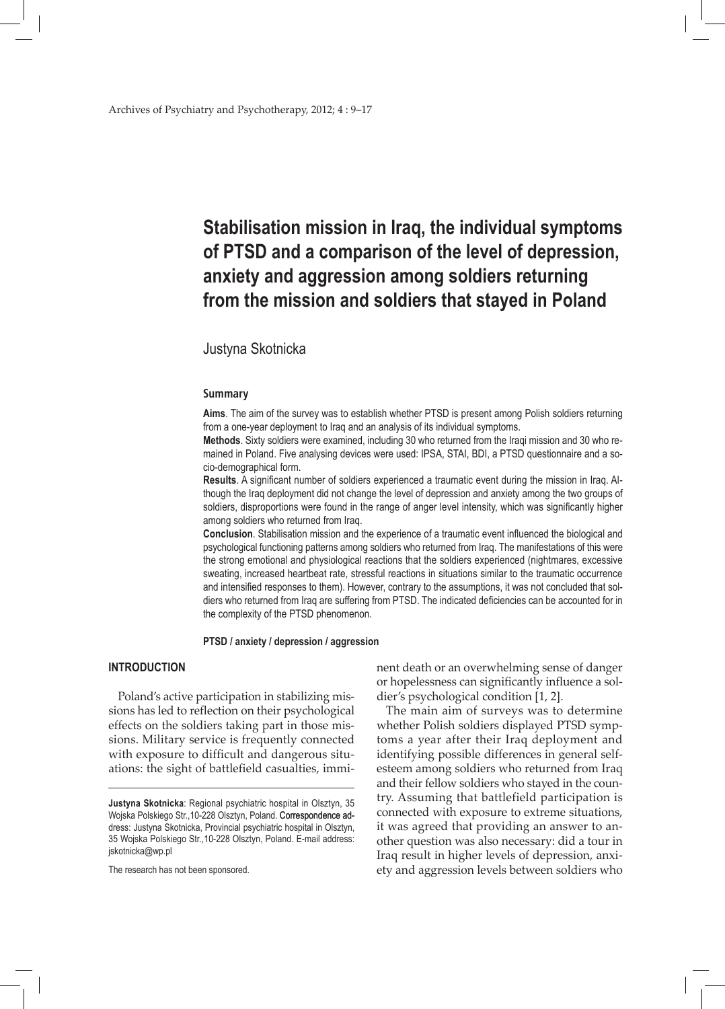# **Stabilisation mission in Iraq, the individual symptoms of PTSD and a comparison of the level of depression, anxiety and aggression among soldiers returning from the mission and soldiers that stayed in Poland**

# Justyna Skotnicka

## **Summary**

**Aims**. The aim of the survey was to establish whether PTSD is present among Polish soldiers returning from a one-year deployment to Iraq and an analysis of its individual symptoms.

**Methods**. Sixty soldiers were examined, including 30 who returned from the Iraqi mission and 30 who remained in Poland. Five analysing devices were used: IPSA, STAI, BDI, a PTSD questionnaire and a socio-demographical form.

**Results**. A significant number of soldiers experienced a traumatic event during the mission in Iraq. Although the Iraq deployment did not change the level of depression and anxiety among the two groups of soldiers, disproportions were found in the range of anger level intensity, which was significantly higher among soldiers who returned from Iraq.

**Conclusion**. Stabilisation mission and the experience of a traumatic event influenced the biological and psychological functioning patterns among soldiers who returned from Iraq. The manifestations of this were the strong emotional and physiological reactions that the soldiers experienced (nightmares, excessive sweating, increased heartbeat rate, stressful reactions in situations similar to the traumatic occurrence and intensified responses to them). However, contrary to the assumptions, it was not concluded that soldiers who returned from Iraq are suffering from PTSD. The indicated deficiencies can be accounted for in the complexity of the PTSD phenomenon.

## **PTSD / anxiety / depression / aggression**

# **INTRODUCTION**

Poland's active participation in stabilizing missions has led to reflection on their psychological effects on the soldiers taking part in those missions. Military service is frequently connected with exposure to difficult and dangerous situations: the sight of battlefield casualties, immi-

The research has not been sponsored.

nent death or an overwhelming sense of danger or hopelessness can significantly influence a soldier's psychological condition [1, 2].

The main aim of surveys was to determine whether Polish soldiers displayed PTSD symptoms a year after their Iraq deployment and identifying possible differences in general selfesteem among soldiers who returned from Iraq and their fellow soldiers who stayed in the country. Assuming that battlefield participation is connected with exposure to extreme situations, it was agreed that providing an answer to another question was also necessary: did a tour in Iraq result in higher levels of depression, anxiety and aggression levels between soldiers who

**Justyna Skotnicka**: Regional psychiatric hospital in Olsztyn, 35 Wojska Polskiego Str.,10-228 Olsztyn, Poland. Correspondence address: Justyna Skotnicka, Provincial psychiatric hospital in Olsztyn, 35 Wojska Polskiego Str.,10-228 Olsztyn, Poland. E-mail address: jskotnicka@wp.pl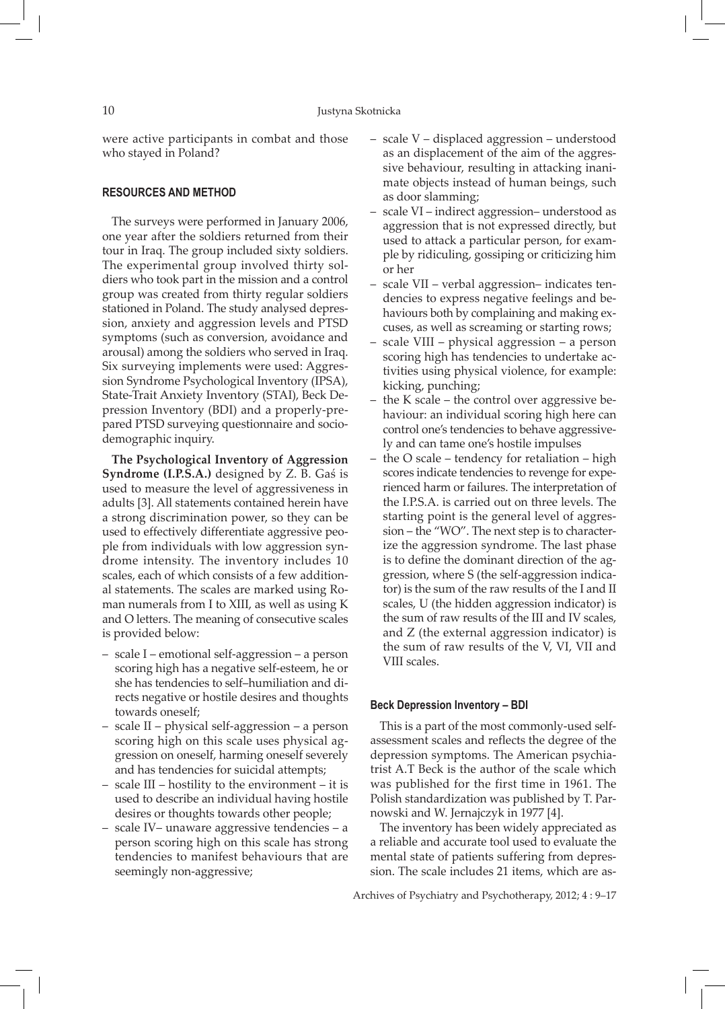were active participants in combat and those who stayed in Poland?

## **RESOURCES AND METHOD**

The surveys were performed in January 2006, one year after the soldiers returned from their tour in Iraq. The group included sixty soldiers. The experimental group involved thirty soldiers who took part in the mission and a control group was created from thirty regular soldiers stationed in Poland. The study analysed depression, anxiety and aggression levels and PTSD symptoms (such as conversion, avoidance and arousal) among the soldiers who served in Iraq. Six surveying implements were used: Aggression Syndrome Psychological Inventory (IPSA), State-Trait Anxiety Inventory (STAI), Beck Depression Inventory (BDI) and a properly-prepared PTSD surveying questionnaire and sociodemographic inquiry.

**The Psychological Inventory of Aggression Syndrome (I.P.S.A.)** designed by Z. B. Gaś is used to measure the level of aggressiveness in adults [3]. All statements contained herein have a strong discrimination power, so they can be used to effectively differentiate aggressive people from individuals with low aggression syndrome intensity. The inventory includes 10 scales, each of which consists of a few additional statements. The scales are marked using Roman numerals from I to XIII, as well as using K and O letters. The meaning of consecutive scales is provided below:

- scale I emotional self-aggression a person scoring high has a negative self-esteem, he or she has tendencies to self–humiliation and directs negative or hostile desires and thoughts towards oneself;
- scale II physical self-aggression a person scoring high on this scale uses physical aggression on oneself, harming oneself severely and has tendencies for suicidal attempts;
- scale III hostility to the environment it is used to describe an individual having hostile desires or thoughts towards other people;
- scale IV– unaware aggressive tendencies a person scoring high on this scale has strong tendencies to manifest behaviours that are seemingly non-aggressive;
- scale V displaced aggression understood as an displacement of the aim of the aggressive behaviour, resulting in attacking inanimate objects instead of human beings, such as door slamming;
- scale VI indirect aggression– understood as aggression that is not expressed directly, but used to attack a particular person, for example by ridiculing, gossiping or criticizing him or her
- scale VII verbal aggression– indicates tendencies to express negative feelings and behaviours both by complaining and making excuses, as well as screaming or starting rows;
- scale VIII physical aggression a person scoring high has tendencies to undertake activities using physical violence, for example: kicking, punching;
- the K scale the control over aggressive behaviour: an individual scoring high here can control one's tendencies to behave aggressively and can tame one's hostile impulses
- the O scale tendency for retaliation high scores indicate tendencies to revenge for experienced harm or failures. The interpretation of the I.P.S.A. is carried out on three levels. The starting point is the general level of aggression – the "WO". The next step is to characterize the aggression syndrome. The last phase is to define the dominant direction of the aggression, where S (the self-aggression indicator) is the sum of the raw results of the I and II scales, U (the hidden aggression indicator) is the sum of raw results of the III and IV scales, and Z (the external aggression indicator) is the sum of raw results of the V, VI, VII and VIII scales.

#### **Beck Depression Inventory – BDI**

This is a part of the most commonly-used selfassessment scales and reflects the degree of the depression symptoms. The American psychiatrist A.T Beck is the author of the scale which was published for the first time in 1961. The Polish standardization was published by T. Parnowski and W. Jernajczyk in 1977 [4].

The inventory has been widely appreciated as a reliable and accurate tool used to evaluate the mental state of patients suffering from depression. The scale includes 21 items, which are as-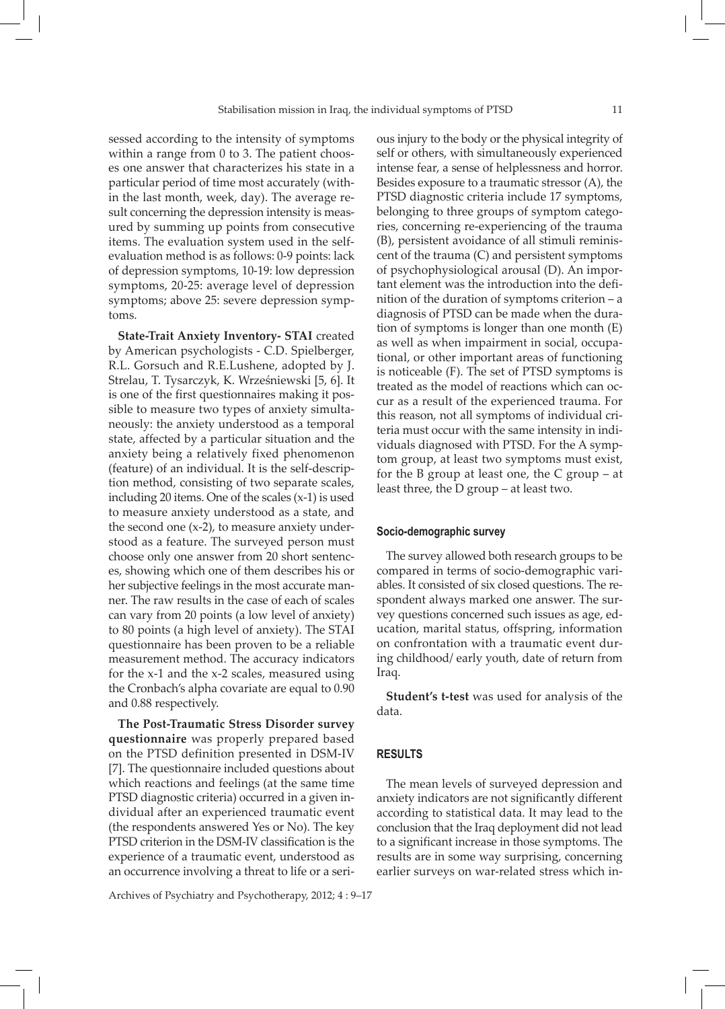sessed according to the intensity of symptoms within a range from 0 to 3. The patient chooses one answer that characterizes his state in a particular period of time most accurately (within the last month, week, day). The average result concerning the depression intensity is measured by summing up points from consecutive items. The evaluation system used in the selfevaluation method is as follows: 0-9 points: lack of depression symptoms, 10-19: low depression symptoms, 20-25: average level of depression symptoms; above 25: severe depression symptoms.

**State-Trait Anxiety Inventory- STAI** created by American psychologists - C.D. Spielberger, R.L. Gorsuch and R.E.Lushene, adopted by J. Strelau, T. Tysarczyk, K. Wrześniewski [5, 6]. It is one of the first questionnaires making it possible to measure two types of anxiety simultaneously: the anxiety understood as a temporal state, affected by a particular situation and the anxiety being a relatively fixed phenomenon (feature) of an individual. It is the self-description method, consisting of two separate scales, including 20 items. One of the scales (x-1) is used to measure anxiety understood as a state, and the second one (x-2), to measure anxiety understood as a feature. The surveyed person must choose only one answer from 20 short sentences, showing which one of them describes his or her subjective feelings in the most accurate manner. The raw results in the case of each of scales can vary from 20 points (a low level of anxiety) to 80 points (a high level of anxiety). The STAI questionnaire has been proven to be a reliable measurement method. The accuracy indicators for the x-1 and the x-2 scales, measured using the Cronbach's alpha covariate are equal to 0.90 and 0.88 respectively.

**The Post-Traumatic Stress Disorder survey questionnaire** was properly prepared based on the PTSD definition presented in DSM-IV [7]. The questionnaire included questions about which reactions and feelings (at the same time PTSD diagnostic criteria) occurred in a given individual after an experienced traumatic event (the respondents answered Yes or No). The key PTSD criterion in the DSM-IV classification is the experience of a traumatic event, understood as an occurrence involving a threat to life or a seri-

Archives of Psychiatry and Psychotherapy, 2012; 4 : 9–17

ous injury to the body or the physical integrity of self or others, with simultaneously experienced intense fear, a sense of helplessness and horror. Besides exposure to a traumatic stressor (A), the PTSD diagnostic criteria include 17 symptoms, belonging to three groups of symptom categories, concerning re-experiencing of the trauma (B), persistent avoidance of all stimuli reminiscent of the trauma (C) and persistent symptoms of psychophysiological arousal (D). An important element was the introduction into the definition of the duration of symptoms criterion – a diagnosis of PTSD can be made when the duration of symptoms is longer than one month (E) as well as when impairment in social, occupational, or other important areas of functioning is noticeable (F). The set of PTSD symptoms is treated as the model of reactions which can occur as a result of the experienced trauma. For this reason, not all symptoms of individual criteria must occur with the same intensity in individuals diagnosed with PTSD. For the A symptom group, at least two symptoms must exist, for the B group at least one, the C group – at least three, the D group – at least two.

### **Socio-demographic survey**

The survey allowed both research groups to be compared in terms of socio-demographic variables. It consisted of six closed questions. The respondent always marked one answer. The survey questions concerned such issues as age, education, marital status, offspring, information on confrontation with a traumatic event during childhood/ early youth, date of return from Iraq.

**Student's t-test** was used for analysis of the data.

## **RESULTS**

The mean levels of surveyed depression and anxiety indicators are not significantly different according to statistical data. It may lead to the conclusion that the Iraq deployment did not lead to a significant increase in those symptoms. The results are in some way surprising, concerning earlier surveys on war-related stress which in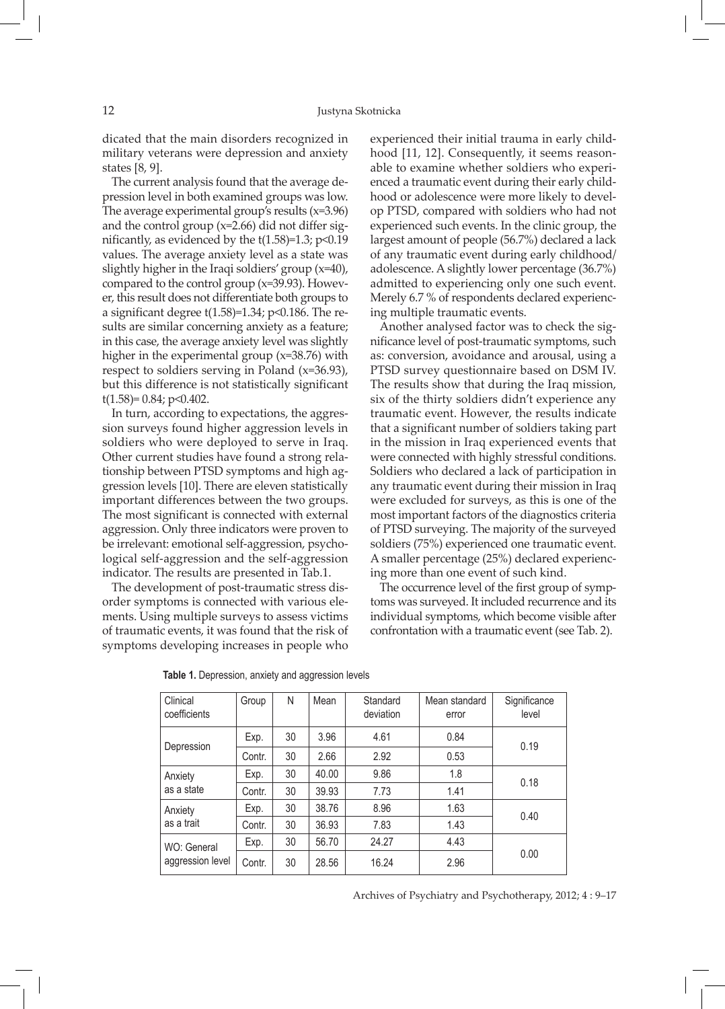dicated that the main disorders recognized in military veterans were depression and anxiety states [8, 9].

The current analysis found that the average depression level in both examined groups was low. The average experimental group's results (x=3.96) and the control group (x=2.66) did not differ significantly, as evidenced by the  $t(1.58)=1.3$ ;  $p<0.19$ values. The average anxiety level as a state was slightly higher in the Iraqi soldiers' group (x=40), compared to the control group (x=39.93). However, this result does not differentiate both groups to a significant degree  $t(1.58)=1.34$ ; p<0.186. The results are similar concerning anxiety as a feature; in this case, the average anxiety level was slightly higher in the experimental group (x=38.76) with respect to soldiers serving in Poland (x=36.93), but this difference is not statistically significant  $t(1.58)=0.84; p<0.402.$ 

In turn, according to expectations, the aggression surveys found higher aggression levels in soldiers who were deployed to serve in Iraq. Other current studies have found a strong relationship between PTSD symptoms and high aggression levels [10]. There are eleven statistically important differences between the two groups. The most significant is connected with external aggression. Only three indicators were proven to be irrelevant: emotional self-aggression, psychological self-aggression and the self-aggression indicator. The results are presented in Tab.1.

The development of post-traumatic stress disorder symptoms is connected with various elements. Using multiple surveys to assess victims of traumatic events, it was found that the risk of symptoms developing increases in people who

experienced their initial trauma in early childhood [11, 12]. Consequently, it seems reasonable to examine whether soldiers who experienced a traumatic event during their early childhood or adolescence were more likely to develop PTSD, compared with soldiers who had not experienced such events. In the clinic group, the largest amount of people (56.7%) declared a lack of any traumatic event during early childhood/ adolescence. A slightly lower percentage (36.7%) admitted to experiencing only one such event. Merely 6.7 % of respondents declared experiencing multiple traumatic events.

Another analysed factor was to check the significance level of post-traumatic symptoms, such as: conversion, avoidance and arousal, using a PTSD survey questionnaire based on DSM IV. The results show that during the Iraq mission, six of the thirty soldiers didn't experience any traumatic event. However, the results indicate that a significant number of soldiers taking part in the mission in Iraq experienced events that were connected with highly stressful conditions. Soldiers who declared a lack of participation in any traumatic event during their mission in Iraq were excluded for surveys, as this is one of the most important factors of the diagnostics criteria of PTSD surveying. The majority of the surveyed soldiers (75%) experienced one traumatic event. A smaller percentage (25%) declared experiencing more than one event of such kind.

The occurrence level of the first group of symptoms was surveyed. It included recurrence and its individual symptoms, which become visible after confrontation with a traumatic event (see Tab. 2).

| Clinical<br>coefficients        | Group  | N  | Mean  | Standard<br>deviation | Mean standard<br>error | Significance<br>level |  |
|---------------------------------|--------|----|-------|-----------------------|------------------------|-----------------------|--|
| Depression                      | Exp.   | 30 | 3.96  | 4.61                  | 0.84                   | 0.19                  |  |
|                                 | Contr. | 30 | 2.66  | 2.92                  | 0.53                   |                       |  |
| Anxiety<br>as a state           | Exp.   | 30 | 40.00 | 9.86                  | 1.8                    | 0.18                  |  |
|                                 | Contr. | 30 | 39.93 | 7.73                  | 1.41                   |                       |  |
| Anxiety<br>as a trait           | Exp.   | 30 | 38.76 | 8.96                  | 1.63                   | 0.40                  |  |
|                                 | Contr. | 30 | 36.93 | 7.83                  | 1.43                   |                       |  |
| WO: General<br>aggression level | Exp.   | 30 | 56.70 | 24.27                 | 4.43                   |                       |  |
|                                 | Contr. | 30 | 28.56 | 16.24                 | 2.96                   | 0.00                  |  |

|  |  | Table 1. Depression, anxiety and aggression levels |  |
|--|--|----------------------------------------------------|--|
|  |  |                                                    |  |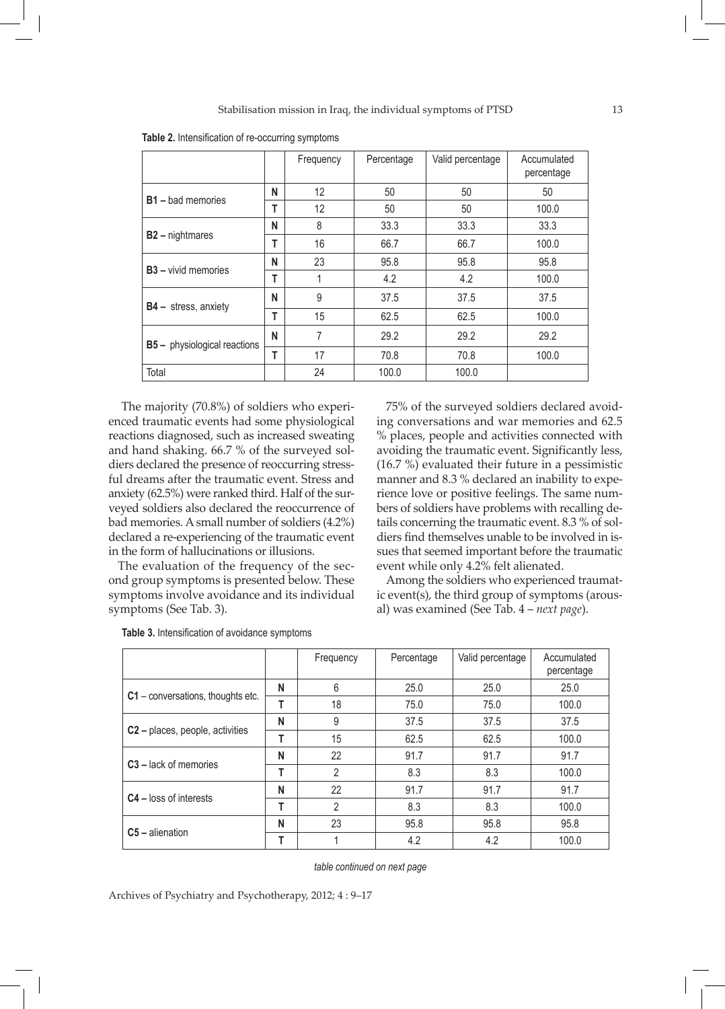|                                     |   | Frequency | Percentage | Valid percentage | Accumulated<br>percentage |
|-------------------------------------|---|-----------|------------|------------------|---------------------------|
|                                     |   | 12        | 50         | 50               | 50                        |
| <b>B1</b> – bad memories            | т | 12        | 50         | 50               | 100.0                     |
| $B2 -$ nightmares                   |   | 8         | 33.3       | 33.3             | 33.3                      |
|                                     |   | 16        | 66.7       | 66.7             | 100.0                     |
| <b>B3</b> - vivid memories          | N | 23        | 95.8       | 95.8             | 95.8                      |
|                                     | т | 1         | 4.2        | 4.2              | 100.0                     |
| $B4 -$ stress, anxiety              | N | 9         | 37.5       | 37.5             | 37.5                      |
|                                     | Т | 15        | 62.5       | 62.5             | 100.0                     |
| <b>B5</b> - physiological reactions |   | 7         | 29.2       | 29.2             | 29.2                      |
|                                     | Т | 17        | 70.8       | 70.8             | 100.0                     |
| Total                               |   | 24        | 100.0      | 100.0            |                           |

**Table 2.** Intensification of re-occurring symptoms

 The majority (70.8%) of soldiers who experienced traumatic events had some physiological reactions diagnosed, such as increased sweating and hand shaking. 66.7 % of the surveyed soldiers declared the presence of reoccurring stressful dreams after the traumatic event. Stress and anxiety (62.5%) were ranked third. Half of the surveyed soldiers also declared the reoccurrence of bad memories. A small number of soldiers (4.2%) declared a re-experiencing of the traumatic event in the form of hallucinations or illusions.

The evaluation of the frequency of the second group symptoms is presented below. These symptoms involve avoidance and its individual symptoms (See Tab. 3).

75% of the surveyed soldiers declared avoiding conversations and war memories and 62.5 % places, people and activities connected with avoiding the traumatic event. Significantly less, (16.7 %) evaluated their future in a pessimistic manner and 8.3 % declared an inability to experience love or positive feelings. The same numbers of soldiers have problems with recalling details concerning the traumatic event. 8.3 % of soldiers find themselves unable to be involved in issues that seemed important before the traumatic event while only 4.2% felt alienated.

Among the soldiers who experienced traumatic event(s), the third group of symptoms (arousal) was examined (See Tab. 4 – *next page*).

|                                             |   | Frequency      | Percentage | Valid percentage | Accumulated<br>percentage |
|---------------------------------------------|---|----------------|------------|------------------|---------------------------|
|                                             | N | 6              | 25.0       | 25.0             | 25.0                      |
| $C1$ – conversations, thoughts etc.         | т | 18             | 75.0       | 75.0             | 100.0                     |
|                                             | N | 9              | 37.5       | 37.5             | 37.5                      |
| C <sub>2</sub> – places, people, activities | т | 15             | 62.5       | 62.5             | 100.0                     |
| $C3$ – lack of memories                     | N | 22             | 91.7       | 91.7             | 91.7                      |
|                                             | т | $\mathfrak{p}$ | 8.3        | 8.3              | 100.0                     |
| $C4$ – loss of interests                    | N | 22             | 91.7       | 91.7             | 91.7                      |
|                                             | т | $\mathfrak{p}$ | 8.3        | 8.3              | 100.0                     |
| $C5$ – alienation                           | N | 23             | 95.8       | 95.8             | 95.8                      |
|                                             |   |                | 4.2        | 4.2              | 100.0                     |

**Table 3.** Intensification of avoidance symptoms

*table continued on next page*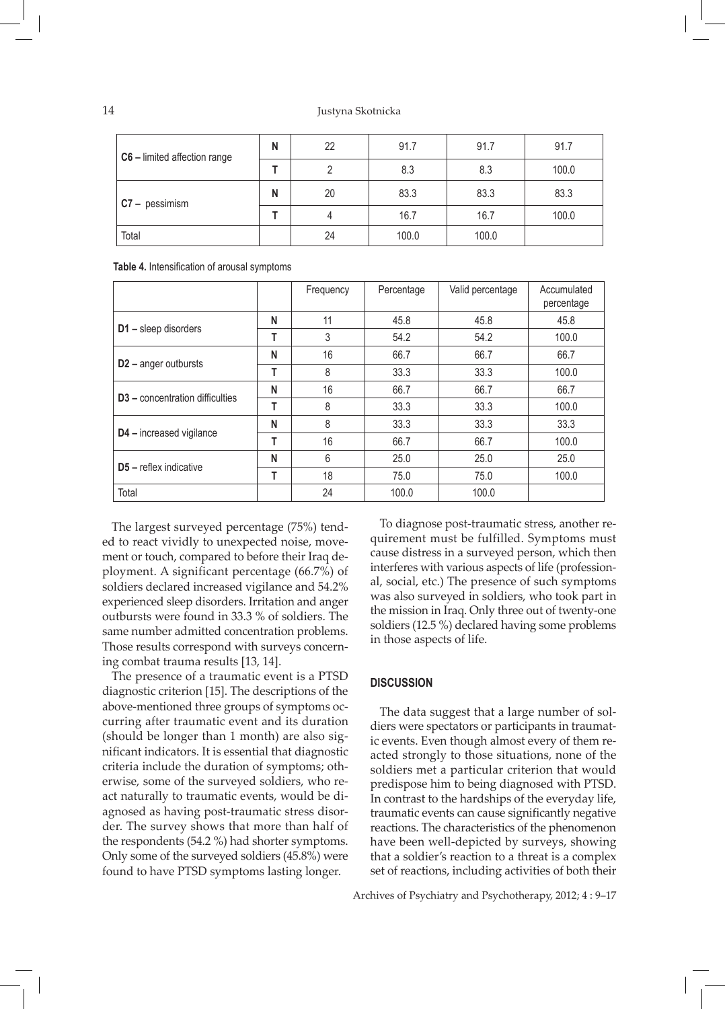14 Justyna Skotnicka

| C6 - limited affection range | N | 22 | 91.7  | 91.7  | 91.7  |
|------------------------------|---|----|-------|-------|-------|
|                              |   |    | 8.3   | 8.3   | 100.0 |
| $C7 - p$ essimism            | N | 20 | 83.3  | 83.3  | 83.3  |
|                              |   |    | 16.7  | 16.7  | 100.0 |
| Total                        |   | 24 | 100.0 | 100.0 |       |

**Table 4.** Intensification of arousal symptoms

|                                             |   | Frequency | Percentage | Valid percentage | Accumulated<br>percentage |
|---------------------------------------------|---|-----------|------------|------------------|---------------------------|
|                                             | N | 11        | 45.8       | 45.8             | 45.8                      |
| D1 - sleep disorders                        | т | 3         | 54.2       | 54.2             | 100.0                     |
|                                             | N | 16        | 66.7       | 66.7             | 66.7                      |
| $D2$ – anger outbursts                      | т | 8         | 33.3       | 33.3             | 100.0                     |
| D <sub>3</sub> – concentration difficulties | N | 16        | 66.7       | 66.7             | 66.7                      |
|                                             | т | 8         | 33.3       | 33.3             | 100.0                     |
| D4 - increased vigilance                    | N | 8         | 33.3       | 33.3             | 33.3                      |
|                                             | т | 16        | 66.7       | 66.7             | 100.0                     |
| $D5$ – reflex indicative                    | N | 6         | 25.0       | 25.0             | 25.0                      |
|                                             | т | 18        | 75.0       | 75.0             | 100.0                     |
| Total                                       |   | 24        | 100.0      | 100.0            |                           |

The largest surveyed percentage (75%) tended to react vividly to unexpected noise, movement or touch, compared to before their Iraq deployment. A significant percentage (66.7%) of soldiers declared increased vigilance and 54.2% experienced sleep disorders. Irritation and anger outbursts were found in 33.3 % of soldiers. The same number admitted concentration problems. Those results correspond with surveys concerning combat trauma results [13, 14].

The presence of a traumatic event is a PTSD diagnostic criterion [15]. The descriptions of the above-mentioned three groups of symptoms occurring after traumatic event and its duration (should be longer than 1 month) are also significant indicators. It is essential that diagnostic criteria include the duration of symptoms; otherwise, some of the surveyed soldiers, who react naturally to traumatic events, would be diagnosed as having post-traumatic stress disorder. The survey shows that more than half of the respondents (54.2 %) had shorter symptoms. Only some of the surveyed soldiers (45.8%) were found to have PTSD symptoms lasting longer.

To diagnose post-traumatic stress, another requirement must be fulfilled. Symptoms must cause distress in a surveyed person, which then interferes with various aspects of life (professional, social, etc.) The presence of such symptoms was also surveyed in soldiers, who took part in the mission in Iraq. Only three out of twenty-one soldiers (12.5 %) declared having some problems in those aspects of life.

## **DISCUSSION**

The data suggest that a large number of soldiers were spectators or participants in traumatic events. Even though almost every of them reacted strongly to those situations, none of the soldiers met a particular criterion that would predispose him to being diagnosed with PTSD. In contrast to the hardships of the everyday life, traumatic events can cause significantly negative reactions. The characteristics of the phenomenon have been well-depicted by surveys, showing that a soldier's reaction to a threat is a complex set of reactions, including activities of both their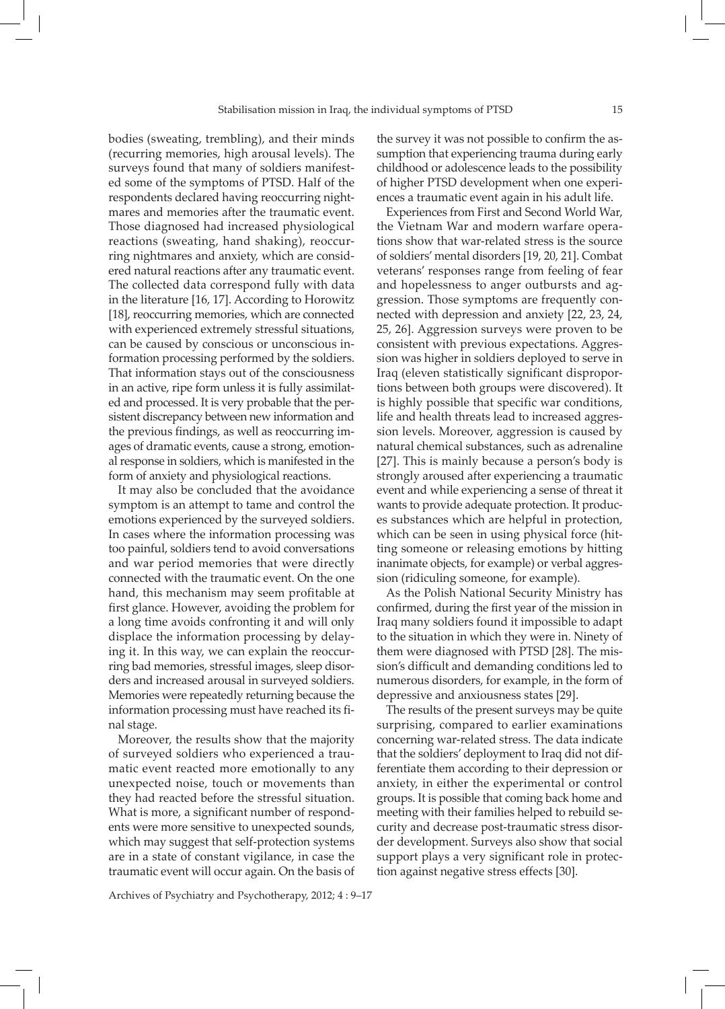bodies (sweating, trembling), and their minds (recurring memories, high arousal levels). The surveys found that many of soldiers manifested some of the symptoms of PTSD. Half of the respondents declared having reoccurring nightmares and memories after the traumatic event. Those diagnosed had increased physiological reactions (sweating, hand shaking), reoccurring nightmares and anxiety, which are considered natural reactions after any traumatic event. The collected data correspond fully with data in the literature [16, 17]. According to Horowitz [18], reoccurring memories, which are connected with experienced extremely stressful situations, can be caused by conscious or unconscious information processing performed by the soldiers. That information stays out of the consciousness in an active, ripe form unless it is fully assimilated and processed. It is very probable that the persistent discrepancy between new information and the previous findings, as well as reoccurring images of dramatic events, cause a strong, emotional response in soldiers, which is manifested in the form of anxiety and physiological reactions.

It may also be concluded that the avoidance symptom is an attempt to tame and control the emotions experienced by the surveyed soldiers. In cases where the information processing was too painful, soldiers tend to avoid conversations and war period memories that were directly connected with the traumatic event. On the one hand, this mechanism may seem profitable at first glance. However, avoiding the problem for a long time avoids confronting it and will only displace the information processing by delaying it. In this way, we can explain the reoccurring bad memories, stressful images, sleep disorders and increased arousal in surveyed soldiers. Memories were repeatedly returning because the information processing must have reached its final stage.

Moreover, the results show that the majority of surveyed soldiers who experienced a traumatic event reacted more emotionally to any unexpected noise, touch or movements than they had reacted before the stressful situation. What is more, a significant number of respondents were more sensitive to unexpected sounds, which may suggest that self-protection systems are in a state of constant vigilance, in case the traumatic event will occur again. On the basis of

Archives of Psychiatry and Psychotherapy, 2012; 4 : 9–17

the survey it was not possible to confirm the assumption that experiencing trauma during early childhood or adolescence leads to the possibility of higher PTSD development when one experiences a traumatic event again in his adult life.

Experiences from First and Second World War, the Vietnam War and modern warfare operations show that war-related stress is the source of soldiers' mental disorders [19, 20, 21]. Combat veterans' responses range from feeling of fear and hopelessness to anger outbursts and aggression. Those symptoms are frequently connected with depression and anxiety [22, 23, 24, 25, 26]. Aggression surveys were proven to be consistent with previous expectations. Aggression was higher in soldiers deployed to serve in Iraq (eleven statistically significant disproportions between both groups were discovered). It is highly possible that specific war conditions, life and health threats lead to increased aggression levels. Moreover, aggression is caused by natural chemical substances, such as adrenaline [27]. This is mainly because a person's body is strongly aroused after experiencing a traumatic event and while experiencing a sense of threat it wants to provide adequate protection. It produces substances which are helpful in protection, which can be seen in using physical force (hitting someone or releasing emotions by hitting inanimate objects, for example) or verbal aggression (ridiculing someone, for example).

As the Polish National Security Ministry has confirmed, during the first year of the mission in Iraq many soldiers found it impossible to adapt to the situation in which they were in. Ninety of them were diagnosed with PTSD [28]. The mission's difficult and demanding conditions led to numerous disorders, for example, in the form of depressive and anxiousness states [29].

The results of the present surveys may be quite surprising, compared to earlier examinations concerning war-related stress. The data indicate that the soldiers' deployment to Iraq did not differentiate them according to their depression or anxiety, in either the experimental or control groups. It is possible that coming back home and meeting with their families helped to rebuild security and decrease post-traumatic stress disorder development. Surveys also show that social support plays a very significant role in protection against negative stress effects [30].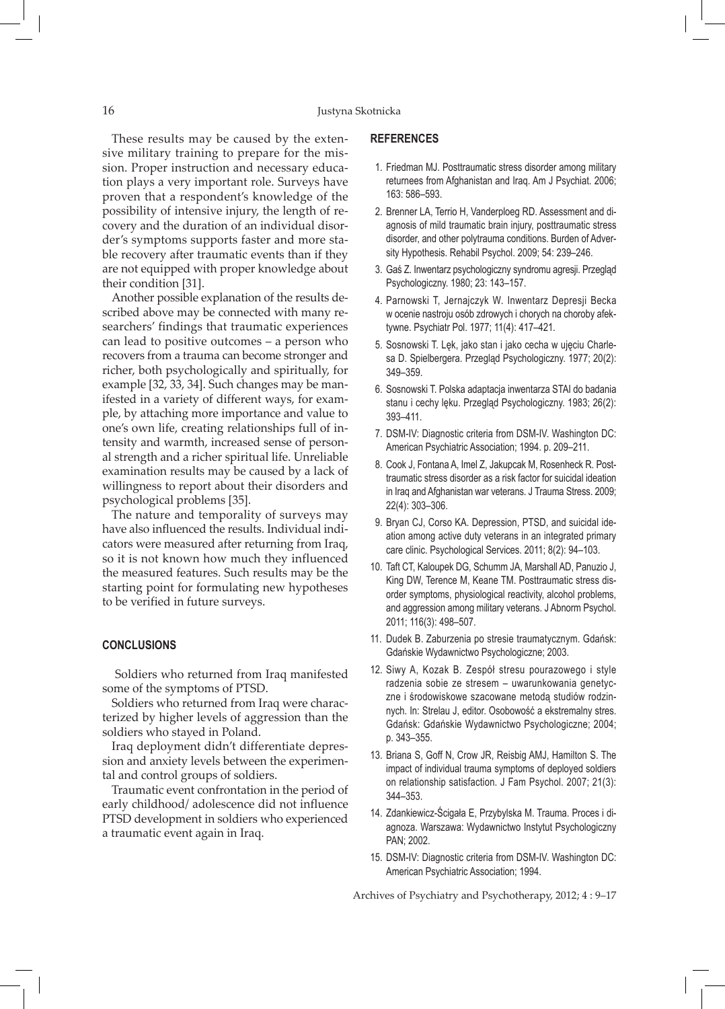These results may be caused by the extensive military training to prepare for the mission. Proper instruction and necessary education plays a very important role. Surveys have proven that a respondent's knowledge of the possibility of intensive injury, the length of recovery and the duration of an individual disorder's symptoms supports faster and more stable recovery after traumatic events than if they are not equipped with proper knowledge about their condition [31].

Another possible explanation of the results described above may be connected with many researchers' findings that traumatic experiences can lead to positive outcomes – a person who recovers from a trauma can become stronger and richer, both psychologically and spiritually, for example [32, 33, 34]. Such changes may be manifested in a variety of different ways, for example, by attaching more importance and value to one's own life, creating relationships full of intensity and warmth, increased sense of personal strength and a richer spiritual life. Unreliable examination results may be caused by a lack of willingness to report about their disorders and psychological problems [35].

The nature and temporality of surveys may have also influenced the results. Individual indicators were measured after returning from Iraq, so it is not known how much they influenced the measured features. Such results may be the starting point for formulating new hypotheses to be verified in future surveys.

## **CONCLUSIONS**

 Soldiers who returned from Iraq manifested some of the symptoms of PTSD.

Soldiers who returned from Iraq were characterized by higher levels of aggression than the soldiers who stayed in Poland.

Iraq deployment didn't differentiate depression and anxiety levels between the experimental and control groups of soldiers.

Traumatic event confrontation in the period of early childhood/ adolescence did not influence PTSD development in soldiers who experienced a traumatic event again in Iraq.

## **REFERENCES**

- 1. Friedman MJ. Posttraumatic stress disorder among military returnees from Afghanistan and Iraq. Am J Psychiat. 2006; 163: 586–593.
- 2. Brenner LA, Terrio H, Vanderploeg RD. Assessment and diagnosis of mild traumatic brain injury, posttraumatic stress disorder, and other polytrauma conditions. Burden of Adversity Hypothesis. Rehabil Psychol. 2009; 54: 239–246.
- 3. Gaś Z. Inwentarz psychologiczny syndromu agresji. Przegląd Psychologiczny. 1980; 23: 143–157.
- 4. Parnowski T, Jernajczyk W. Inwentarz Depresji Becka w ocenie nastroju osób zdrowych i chorych na choroby afektywne. Psychiatr Pol. 1977; 11(4): 417–421.
- 5. Sosnowski T. Lęk, jako stan i jako cecha w ujęciu Charlesa D. Spielbergera. Przegląd Psychologiczny. 1977; 20(2): 349–359.
- 6. Sosnowski T. Polska adaptacja inwentarza STAI do badania stanu i cechy lęku. Przegląd Psychologiczny. 1983; 26(2): 393–411.
- 7. DSM-IV: Diagnostic criteria from DSM-IV. Washington DC: American Psychiatric Association; 1994. p. 209–211.
- 8. Cook J, Fontana A, Imel Z, Jakupcak M, Rosenheck R. Posttraumatic stress disorder as a risk factor for suicidal ideation in Iraq and Afghanistan war veterans. J Trauma Stress. 2009; 22(4): 303–306.
- 9. Bryan CJ, Corso KA. Depression, PTSD, and suicidal ideation among active duty veterans in an integrated primary care clinic. Psychological Services. 2011; 8(2): 94–103.
- 10. Taft CT, Kaloupek DG, Schumm JA, Marshall AD, Panuzio J, King DW, Terence M, Keane TM. Posttraumatic stress disorder symptoms, physiological reactivity, alcohol problems, and aggression among military veterans. J Abnorm Psychol. 2011; 116(3): 498–507.
- 11. Dudek B. Zaburzenia po stresie traumatycznym. Gdańsk: Gdańskie Wydawnictwo Psychologiczne; 2003.
- 12. Siwy A, Kozak B. Zespół stresu pourazowego i style radzenia sobie ze stresem – uwarunkowania genetyczne i środowiskowe szacowane metodą studiów rodzinnych. In: Strelau J, editor. Osobowość a ekstremalny stres. Gdańsk: Gdańskie Wydawnictwo Psychologiczne; 2004; p. 343–355.
- 13. Briana S, Goff N, Crow JR, Reisbig AMJ, Hamilton S. The impact of individual trauma symptoms of deployed soldiers on relationship satisfaction. J Fam Psychol. 2007; 21(3): 344–353.
- 14. Zdankiewicz-Ścigała E, Przybylska M. Trauma. Proces i diagnoza. Warszawa: Wydawnictwo Instytut Psychologiczny PAN; 2002.
- 15. DSM-IV: Diagnostic criteria from DSM-IV. Washington DC: American Psychiatric Association; 1994.